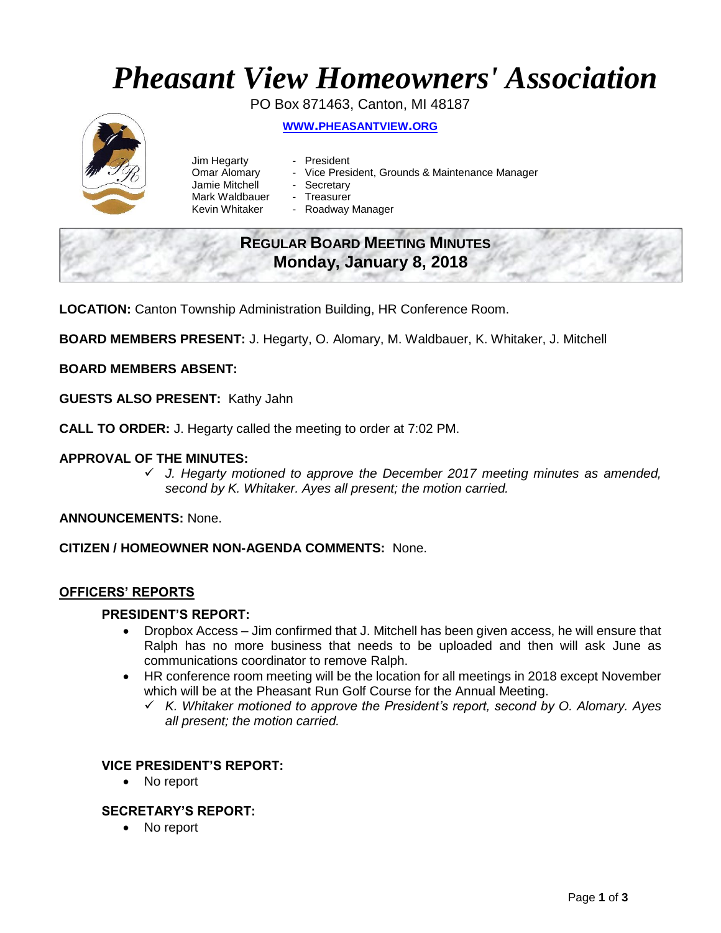# *Pheasant View Homeowners' Association*

PO Box 871463, Canton, MI 48187 **WWW.[PHEASANTVIEW](http://www.pheasantview.org/).ORG**

- Jim Hegarty President
	-
- Omar Alomary Vice President, Grounds & Maintenance Manager
- Jamie Mitchell Secretary
	-
- Mark Waldbauer Treasurer<br>Kevin Whitaker Roadway - Roadway Manager

## **REGULAR BOARD MEETING MINUTES Monday, January 8, 2018**

**LOCATION:** Canton Township Administration Building, HR Conference Room.

**BOARD MEMBERS PRESENT:** J. Hegarty, O. Alomary, M. Waldbauer, K. Whitaker, J. Mitchell

### **BOARD MEMBERS ABSENT:**

**GUESTS ALSO PRESENT:** Kathy Jahn

**CALL TO ORDER:** J. Hegarty called the meeting to order at 7:02 PM.

#### **APPROVAL OF THE MINUTES:**

 *J. Hegarty motioned to approve the December 2017 meeting minutes as amended, second by K. Whitaker. Ayes all present; the motion carried.* 

**ANNOUNCEMENTS:** None.

**CITIZEN / HOMEOWNER NON-AGENDA COMMENTS:** None.

#### **OFFICERS' REPORTS**

#### **PRESIDENT'S REPORT:**

- Dropbox Access Jim confirmed that J. Mitchell has been given access, he will ensure that Ralph has no more business that needs to be uploaded and then will ask June as communications coordinator to remove Ralph.
- HR conference room meeting will be the location for all meetings in 2018 except November which will be at the Pheasant Run Golf Course for the Annual Meeting.
	- *K. Whitaker motioned to approve the President's report, second by O. Alomary. Ayes all present; the motion carried.*

#### **VICE PRESIDENT'S REPORT:**

• No report

#### **SECRETARY'S REPORT:**

• No report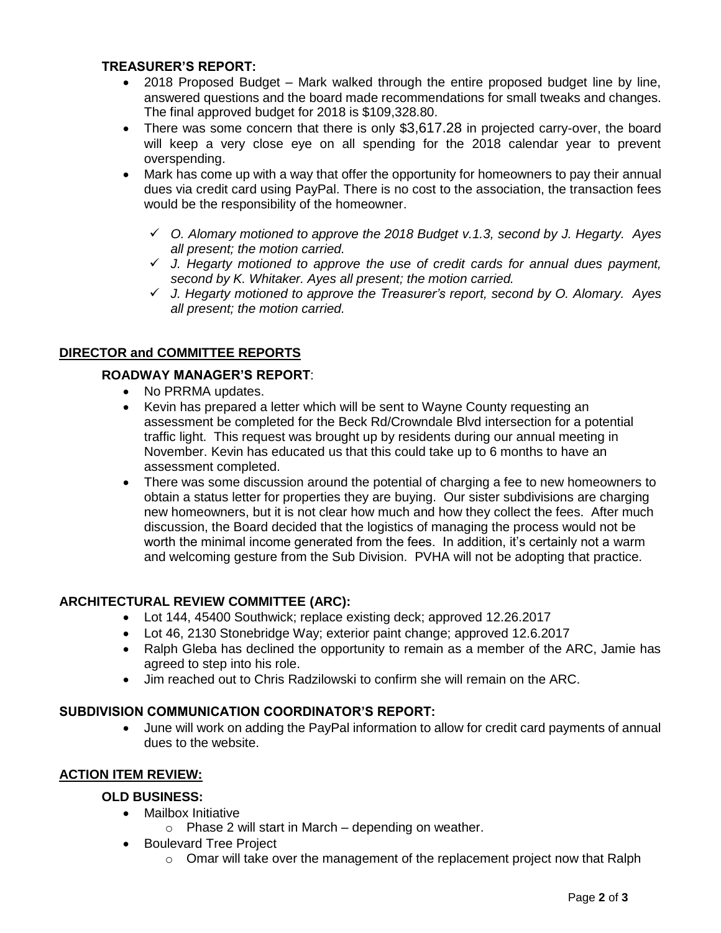#### **TREASURER'S REPORT:**

- 2018 Proposed Budget Mark walked through the entire proposed budget line by line, answered questions and the board made recommendations for small tweaks and changes. The final approved budget for 2018 is \$109,328.80.
- There was some concern that there is only \$3,617.28 in projected carry-over, the board will keep a very close eye on all spending for the 2018 calendar year to prevent overspending.
- Mark has come up with a way that offer the opportunity for homeowners to pay their annual dues via credit card using PayPal. There is no cost to the association, the transaction fees would be the responsibility of the homeowner.
	- *O. Alomary motioned to approve the 2018 Budget v.1.3, second by J. Hegarty. Ayes all present; the motion carried.*
	- *J. Hegarty motioned to approve the use of credit cards for annual dues payment, second by K. Whitaker. Ayes all present; the motion carried.*
	- *J. Hegarty motioned to approve the Treasurer's report, second by O. Alomary. Ayes all present; the motion carried.*

### **DIRECTOR and COMMITTEE REPORTS**

#### **ROADWAY MANAGER'S REPORT**:

- No PRRMA updates.
- Kevin has prepared a letter which will be sent to Wayne County requesting an assessment be completed for the Beck Rd/Crowndale Blvd intersection for a potential traffic light. This request was brought up by residents during our annual meeting in November. Kevin has educated us that this could take up to 6 months to have an assessment completed.
- There was some discussion around the potential of charging a fee to new homeowners to obtain a status letter for properties they are buying. Our sister subdivisions are charging new homeowners, but it is not clear how much and how they collect the fees. After much discussion, the Board decided that the logistics of managing the process would not be worth the minimal income generated from the fees. In addition, it's certainly not a warm and welcoming gesture from the Sub Division. PVHA will not be adopting that practice.

#### **ARCHITECTURAL REVIEW COMMITTEE (ARC):**

- Lot 144, 45400 Southwick; replace existing deck; approved 12.26.2017
- Lot 46, 2130 Stonebridge Way; exterior paint change; approved 12.6.2017
- Ralph Gleba has declined the opportunity to remain as a member of the ARC, Jamie has agreed to step into his role.
- Jim reached out to Chris Radzilowski to confirm she will remain on the ARC.

#### **SUBDIVISION COMMUNICATION COORDINATOR'S REPORT:**

 June will work on adding the PayPal information to allow for credit card payments of annual dues to the website.

#### **ACTION ITEM REVIEW:**

### **OLD BUSINESS:**

- Mailbox Initiative
	- $\circ$  Phase 2 will start in March depending on weather.
- Boulevard Tree Project
	- $\circ$  Omar will take over the management of the replacement project now that Ralph